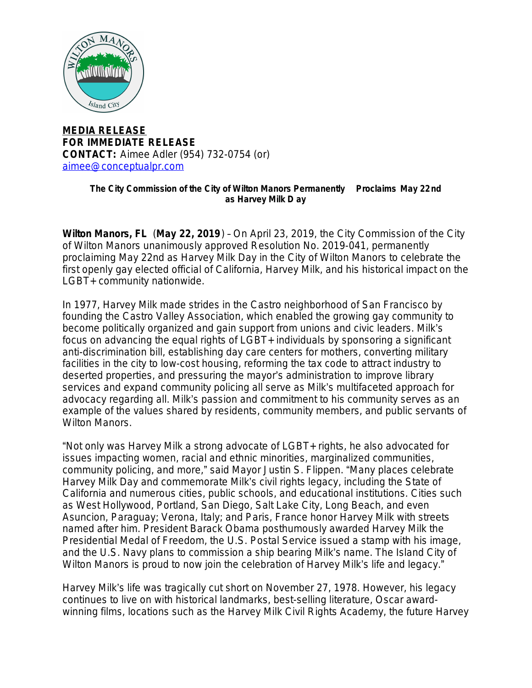

## **MEDIA RELEASE FOR IMMEDIATE RELEASE CONTACT:** Aimee Adler (954) 732-0754 (or) [aimee@conceptualpr.com](mailto:aimee@conceptualpr.com)

## **The City Commission of the City of Wilton Manors Permanently Proclaims May 22nd as Harvey Milk D ay**

**Wilton Manors, FL** (**May 22, 2019**) – On April 23, 2019, the City Commission of the City of Wilton Manors unanimously approved Resolution No. 2019-041, permanently proclaiming May 22nd as *Harvey Milk Day* in the City of Wilton Manors to celebrate the first openly gay elected official of California, Harvey Milk, and his historical impact on the LGBT+ community nationwide.

In 1977, Harvey Milk made strides in the Castro neighborhood of San Francisco by founding the Castro Valley Association, which enabled the growing gay community to become politically organized and gain support from unions and civic leaders. Milk's focus on advancing the equal rights of LGBT+ individuals by sponsoring a significant anti-discrimination bill, establishing day care centers for mothers, converting military facilities in the city to low-cost housing, reforming the tax code to attract industry to deserted properties, and pressuring the mayor's administration to improve library services and expand community policing all serve as Milk's multifaceted approach for advocacy regarding all. Milk's passion and commitment to his community serves as an example of the values shared by residents, community members, and public servants of Wilton Manors.

"Not only was Harvey Milk a strong advocate of LGBT+ rights, he also advocated for issues impacting women, racial and ethnic minorities, marginalized communities, community policing, and more," said Mayor Justin S. Flippen. "Many places celebrate Harvey Milk Day and commemorate Milk's civil rights legacy, including the State of California and numerous cities, public schools, and educational institutions. Cities such as West Hollywood, Portland, San Diego, Salt Lake City, Long Beach, and even Asuncion, Paraguay; Verona, Italy; and Paris, France honor Harvey Milk with streets named after him. President Barack Obama posthumously awarded Harvey Milk the Presidential Medal of Freedom, the U.S. Postal Service issued a stamp with his image, and the U.S. Navy plans to commission a ship bearing Milk's name. The Island City of Wilton Manors is proud to now join the celebration of Harvey Milk's life and legacy."

Harvey Milk's life was tragically cut short on November 27, 1978. However, his legacy continues to live on with historical landmarks, best-selling literature, Oscar awardwinning films, locations such as the Harvey Milk Civil Rights Academy, the future Harvey